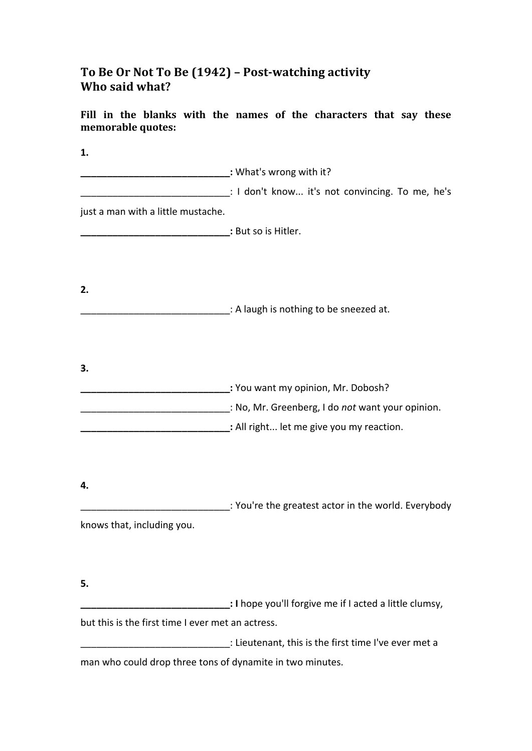## To Be Or Not To Be (1942) - Post-watching activity **Who said what?**

Fill in the blanks with the names of the characters that say these **memorable quotes:**

**1. \_\_\_\_\_\_\_\_\_\_\_\_\_\_\_\_\_\_\_\_\_\_\_\_\_\_:** What's wrong with it? **Example 20** I don't know... it's not convincing. To me, he's just a man with a little mustache. **Let us the Subset of Subset Subset Subset Subset Subset Subset Subset Subset Subset Subset Subset Subset Subset Subset Subset Subset Subset Subset Subset Subset Subset Subset Subset Subset Subset Subset Subset Subset Subs 2.** \_\_\_\_\_\_\_\_\_\_\_\_\_\_\_\_\_\_\_\_: A laugh is nothing to be sneezed at. **3. \_\_\_\_\_\_\_\_\_\_\_\_\_\_\_\_\_\_\_\_\_\_\_:** You want my opinion, Mr. Dobosh? \_\_\_\_\_\_\_\_\_\_\_\_\_\_\_\_\_\_\_\_\_\_\_\_\_\_\_\_: No, Mr. Greenberg, I do *not* want your opinion. **\_\_\_\_\_\_\_\_\_\_\_\_\_\_\_:** All right... let me give you my reaction. **4. EXECUTE:** You're the greatest actor in the world. Everybody knows that, including you. **5. \_\_\_\_\_\_\_\_\_\_\_\_\_\_\_\_\_\_\_\_:** I hope you'll forgive me if I acted a little clumsy, but this is the first time I ever met an actress. \_\_\_\_\_\_\_\_\_\_\_\_\_\_\_\_\_\_\_\_\_\_\_\_\_\_\_\_\_\_\_\_\_\_: Lieutenant, this is the first time I've ever met a man who could drop three tons of dynamite in two minutes.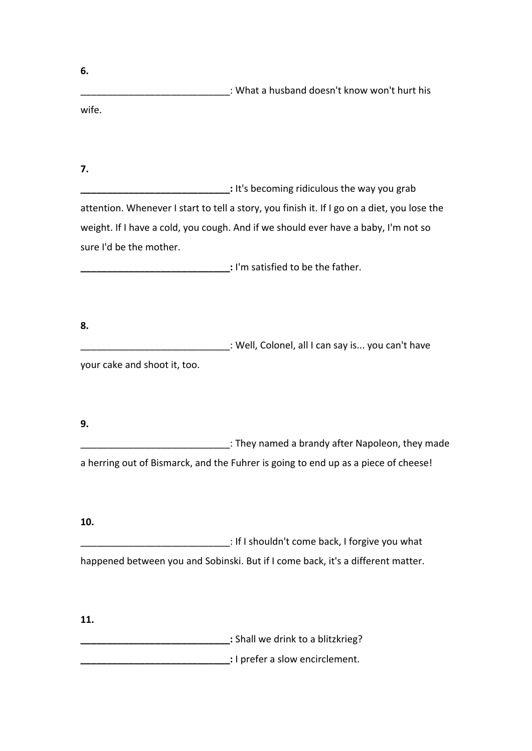| 6.                           |                                                                                             |
|------------------------------|---------------------------------------------------------------------------------------------|
|                              | : What a husband doesn't know won't hurt his                                                |
| wife.                        |                                                                                             |
| 7.                           |                                                                                             |
|                              | : It's becoming ridiculous the way you grab                                                 |
|                              | attention. Whenever I start to tell a story, you finish it. If I go on a diet, you lose the |
|                              | weight. If I have a cold, you cough. And if we should ever have a baby, I'm not so          |
| sure I'd be the mother.      |                                                                                             |
|                              | : I'm satisfied to be the father.                                                           |
|                              |                                                                                             |
| 8.                           |                                                                                             |
|                              | : Well, Colonel, all I can say is you can't have                                            |
| your cake and shoot it, too. |                                                                                             |
|                              |                                                                                             |
| 9.                           |                                                                                             |
|                              | : They named a brandy after Napoleon, they made                                             |
|                              | a herring out of Bismarck, and the Fuhrer is going to end up as a piece of cheese!          |
| 10.                          |                                                                                             |
|                              | : If I shouldn't come back, I forgive you what                                              |
|                              | happened between you and Sobinski. But if I come back, it's a different matter.             |
|                              |                                                                                             |
| 11.                          |                                                                                             |
|                              | : Shall we drink to a blitzkrieg?                                                           |

**\_\_\_\_\_\_\_\_\_\_\_\_:** I prefer a slow encirclement.